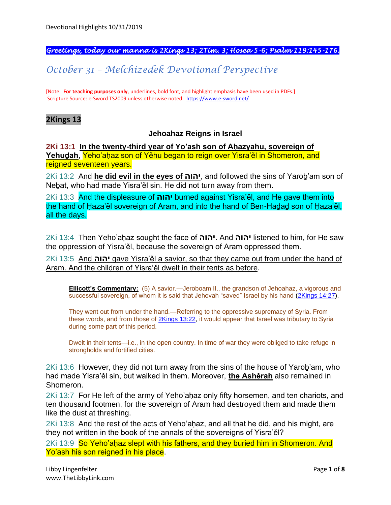#### *Greetings, today our manna is 2Kings 13; 2Tim. 3; Hosea 5-6; Psalm 119:145-176.*

## *October 31 – Melchizedek Devotional Perspective*

[Note: **For teaching purposes only**, underlines, bold font, and highlight emphasis have been used in PDFs.] Scripture Source: e-Sword TS2009 unless otherwise noted: <https://www.e-sword.net/>

#### **2Kings 13**

#### **Jehoahaz Reigns in Israel**

**2Ki 13:1 In the twenty-third year of Yo'ash son of Aḥazyahu, sovereign of**  Yehudah, Yeho'ahaz son of Yěhu began to reign over Yisra'ěl in Shomeron, and reigned seventeen years.

2Ki 13:2 And **he did evil in the eyes of יהוה**, and followed the sins of Yaroḇ'am son of Neḇat, who had made Yisra'ěl sin. He did not turn away from them.

2Ki 13:3 And the displeasure of **יהוה** burned against Yisra'ěl, and He gave them into the hand of Ḥaza'ěl sovereign of Aram, and into the hand of Ben-Haḏaḏ son of Ḥaza'ěl, all the days.

2Ki 13:4 Then Yeho'aḥaz sought the face of **יהוה**. And **יהוה** listened to him, for He saw the oppression of Yisra'ěl, because the sovereign of Aram oppressed them.

2Ki 13:5 And **יהוה** gave Yisra'ěl a savior, so that they came out from under the hand of Aram. And the children of Yisra'ěl dwelt in their tents as before.

**Ellicott's Commentary:** (5) A savior.—Jeroboam II., the grandson of Jehoahaz, a vigorous and successful sovereign, of whom it is said that Jehovah "saved" Israel by his hand [\(2Kings 14:27\)](https://biblehub.com/2_kings/14-27.htm).

They went out from under the hand.—Referring to the oppressive supremacy of Syria. From these words, and from those of [2Kings 13:22,](https://biblehub.com/2_kings/13-22.htm) it would appear that Israel was tributary to Syria during some part of this period.

Dwelt in their tents—i.e., in the open country. In time of war they were obliged to take refuge in strongholds and fortified cities.

2Ki 13:6 However, they did not turn away from the sins of the house of Yaroḇ'am, who had made Yisra'ěl sin, but walked in them. Moreover, **the Ashěrah** also remained in Shomeron.

2Ki 13:7 For He left of the army of Yeho'aḥaz only fifty horsemen, and ten chariots, and ten thousand footmen, for the sovereign of Aram had destroyed them and made them like the dust at threshing.

 $2Ki$  13:8 And the rest of the acts of Yeho'ahaz, and all that he did, and his might, are they not written in the book of the annals of the sovereigns of Yisra'ěl?

2Ki 13:9 So Yeho'ahaz slept with his fathers, and they buried him in Shomeron. And Yo'ash his son reigned in his place.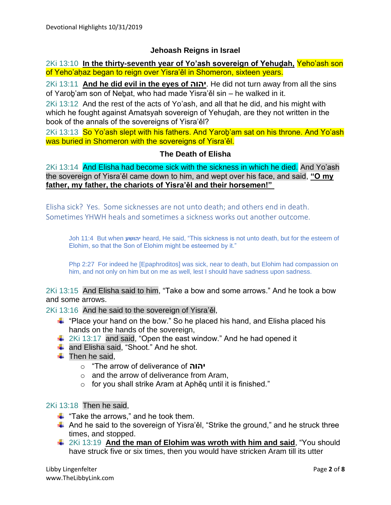#### **Jehoash Reigns in Israel**

2Ki 13:10 **In the thirty-seventh year of Yo'ash sovereign of Yehuḏah,** Yeho'ash son of Yeho'ahaz began to reign over Yisra'ěl in Shomeron, sixteen years.

2Ki 13:11 **And he did evil in the eyes of יהוה**. He did not turn away from all the sins of Yaroḇ'am son of Neḇat, who had made Yisra'ěl sin – he walked in it.

2Ki 13:12 And the rest of the acts of Yo'ash, and all that he did, and his might with which he fought against Amatsyah sovereign of Yehudah, are they not written in the book of the annals of the sovereigns of Yisra'ěl?

2Ki 13:13 So Yo'ash slept with his fathers. And Yarob'am sat on his throne. And Yo'ash was buried in Shomeron with the sovereigns of Yisra'ěl.

#### **The Death of Elisha**

2Ki 13:14 And Elisha had become sick with the sickness in which he died. And Yo'ash the sovereign of Yisra'ěl came down to him, and wept over his face, and said, **"O my father, my father, the chariots of Yisra'ěl and their horsemen!"**

Elisha sick? Yes. Some sicknesses are not unto death; and others end in death. Sometimes YHWH heals and sometimes a sickness works out another outcome.

Joh 11:4 But when **יהושע** heard, He said, "This sickness is not unto death, but for the esteem of Elohim, so that the Son of Elohim might be esteemed by it."

Php 2:27 For indeed he [Epaphroditos] was sick, near to death, but Elohim had compassion on him, and not only on him but on me as well, lest I should have sadness upon sadness.

2Ki 13:15 And Elisha said to him, "Take a bow and some arrows." And he took a bow and some arrows.

2Ki 13:16 And he said to the sovereign of Yisra'ěl,

- $\ddot{\bullet}$  "Place your hand on the bow." So he placed his hand, and Elisha placed his hands on the hands of the sovereign,
- $\frac{1}{2}$  2Ki 13:17 and said, "Open the east window." And he had opened it
- $\frac{1}{\sqrt{1}}$  and Elisha said, "Shoot." And he shot.
- $\ddot{\bullet}$  Then he said.
	- o "The arrow of deliverance of **יהוה**
	- o and the arrow of deliverance from Aram,
	- o for you shall strike Aram at Aphěq until it is finished."

## 2Ki 13:18 Then he said,

- $\frac{1}{\sqrt{2}}$  "Take the arrows," and he took them.
- $\ddot$  And he said to the sovereign of Yisra'ěl, "Strike the ground," and he struck three times, and stopped.
- 2Ki 13:19 **And the man of Elohim was wroth with him and said**, "You should have struck five or six times, then you would have stricken Aram till its utter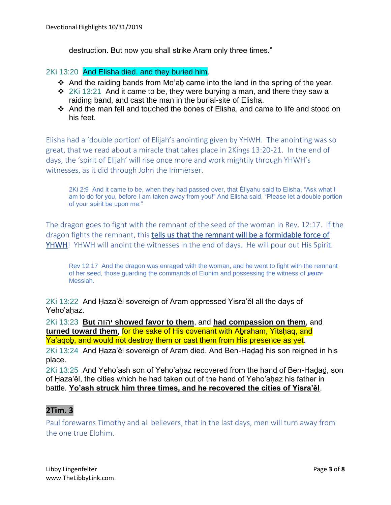destruction. But now you shall strike Aram only three times."

#### 2Ki 13:20 And Elisha died, and they buried him.

- ❖ And the raiding bands from Mo'aḇ came into the land in the spring of the year.
- $\div$  2Ki 13:21 And it came to be, they were burying a man, and there they saw a raiding band, and cast the man in the burial-site of Elisha.
- ❖ And the man fell and touched the bones of Elisha, and came to life and stood on his feet.

Elisha had a 'double portion' of Elijah's anointing given by YHWH. The anointing was so great, that we read about a miracle that takes place in 2Kings 13:20-21. In the end of days, the 'spirit of Elijah' will rise once more and work mightily through YHWH's witnesses, as it did through John the Immerser.

2Ki 2:9 And it came to be, when they had passed over, that Ěliyahu said to Elisha, "Ask what I am to do for you, before I am taken away from you!" And Elisha said, "Please let a double portion of your spirit be upon me."

The dragon goes to fight with the remnant of the seed of the woman in Rev. 12:17. If the dragon fights the remnant, this tells us that the remnant will be a formidable force of YHWH! YHWH will anoint the witnesses in the end of days. He will pour out His Spirit.

Rev 12:17 And the dragon was enraged with the woman, and he went to fight with the remnant of her seed, those guarding the commands of Elohim and possessing the witness of **יהושע** Messiah.

2Ki 13:22 And Ḥaza'ěl sovereign of Aram oppressed Yisra'ěl all the days of Yeho'ahaz

2Ki 13:23 **But** יהוה **showed favor to them**, and **had compassion on them**, and **turned toward them**, for the sake of His covenant with Aḇraham, Yitsḥaq, and Ya'aqob, and would not destroy them or cast them from His presence as yet.

2Ki 13:24 And Ḥaza'ěl sovereign of Aram died. And Ben-Haḏaḏ his son reigned in his place.

2Ki 13:25 And Yeho'ash son of Yeho'ahaz recovered from the hand of Ben-Hadad, son of Haza'ěl, the cities which he had taken out of the hand of Yeho'ahaz his father in battle. **Yo'ash struck him three times, and he recovered the cities of Yisra'ěl**.

## **2Tim. 3**

Paul forewarns Timothy and all believers, that in the last days, men will turn away from the one true Elohim.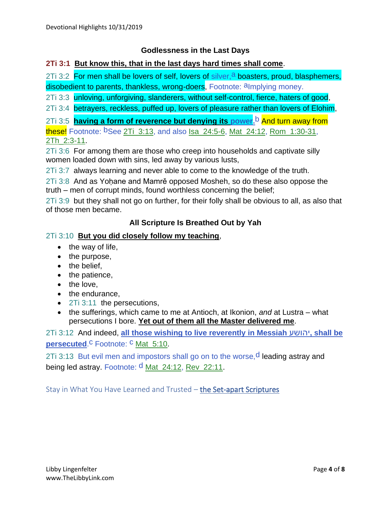#### **Godlessness in the Last Days**

#### **2Ti 3:1 But know this, that in the last days hard times shall come**.

2Ti 3:2 For men shall be lovers of self, lovers of silver, a boasters, proud, blasphemers, disobedient to parents, thankless, wrong-doers, Footnote: almplying money.

2Ti 3:3 unloving, unforgiving, slanderers, without self-control, fierce, haters of good,

2Ti 3:4 betrayers, reckless, puffed up, lovers of pleasure rather than lovers of Elohim,

2Ti 3:5 **having a form of reverence but denying its power.**b And turn away from

these! Footnote: <sup>b</sup>See 2Ti 3:13, and also Isa 24:5-6, Mat 24:12, Rom 1:30-31, 2Th\_2:3-11.

2Ti 3:6 For among them are those who creep into households and captivate silly women loaded down with sins, led away by various lusts,

2Ti 3:7 always learning and never able to come to the knowledge of the truth.

2Ti 3:8 And as Yohane and Mamrě opposed Mosheh, so do these also oppose the truth – men of corrupt minds, found worthless concerning the belief;

2Ti 3:9 but they shall not go on further, for their folly shall be obvious to all, as also that of those men became.

#### **All Scripture Is Breathed Out by Yah**

#### 2Ti 3:10 **But you did closely follow my teaching**,

- the way of life,
- the purpose,
- the belief,
- the patience,
- the love,
- the endurance,
- 2Ti 3:11 the persecutions,
- the sufferings, which came to me at Antioch, at Ikonion, *and* at Lustra what persecutions I bore. **Yet out of them all the Master delivered me**.

2Ti 3:12 And indeed, **all those wishing to live reverently in Messiah** יהושע**, shall be persecuted.<sup>C</sup>** Footnote: <sup>C</sup> Mat<sub>\_5</sub>:10.

2Ti 3:13 But evil men and impostors shall go on to the worse, d leading astray and being led astray. Footnote: d Mat\_24:12, Rev\_22:11.

Stay in What You Have Learned and Trusted – the Set-apart Scriptures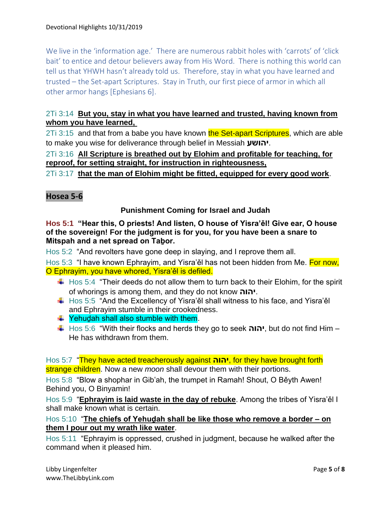We live in the 'information age.' There are numerous rabbit holes with 'carrots' of 'click bait' to entice and detour believers away from His Word. There is nothing this world can tell us that YHWH hasn't already told us. Therefore, stay in what you have learned and trusted – the Set-apart Scriptures. Stay in Truth, our first piece of armor in which all other armor hangs [Ephesians 6].

## 2Ti 3:14 **But you, stay in what you have learned and trusted, having known from whom you have learned,**

2Ti 3:15 and that from a babe you have known the Set-apart Scriptures, which are able to make you wise for deliverance through belief in Messiah **יהושע**.

## 2Ti 3:16 **All Scripture is breathed out by Elohim and profitable for teaching, for reproof, for setting straight, for instruction in righteousness,**

## 2Ti 3:17 **that the man of Elohim might be fitted, equipped for every good work**.

## **Hosea 5-6**

#### **Punishment Coming for Israel and Judah**

#### **Hos 5:1 "Hear this, O priests! And listen, O house of Yisra'ěl! Give ear, O house of the sovereign! For the judgment is for you, for you have been a snare to Mitspah and a net spread on Taḇor.**

Hos 5:2 "And revolters have gone deep in slaying, and I reprove them all.

Hos 5:3 "I have known Ephrayim, and Yisra'ěl has not been hidden from Me. For now, O Ephrayim, you have whored, Yisra'ěl is defiled.

- $\ddot{\text{+}}$  Hos 5:4 "Their deeds do not allow them to turn back to their Elohim, for the spirit of whorings is among them, and they do not know **יהוה**.
- $\ddot{\bullet}$  Hos 5:5 "And the Excellency of Yisra'ěl shall witness to his face, and Yisra'ěl and Ephrayim stumble in their crookedness.
- $\frac{1}{2}$  Yehudah shall also stumble with them.
- Hos 5:6 "With their flocks and herds they go to seek **יהוה**, but do not find Him He has withdrawn from them.

Hos 5:7 "They have acted treacherously against **יהוה**, for they have brought forth strange children. Now a new *moon* shall devour them with their portions.

Hos 5:8 "Blow a shophar in Gib'ah, the trumpet in Ramah! Shout, O Běyth Awen! Behind you, O Binyamin!

Hos 5:9 "**Ephrayim is laid waste in the day of rebuke**. Among the tribes of Yisra'ěl I shall make known what is certain.

Hos 5:10 "**The chiefs of Yehuḏah shall be like those who remove a border – on them I pour out my wrath like water**.

Hos 5:11 "Ephrayim is oppressed, crushed in judgment, because he walked after the command when it pleased him.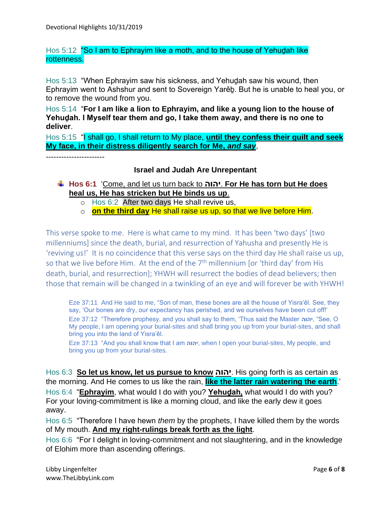### Hos 5:12 "So I am to Ephrayim like a moth, and to the house of Yehudah like rottenness.

Hos 5:13 "When Ephrayim saw his sickness, and Yehuḏah saw his wound, then Ephrayim went to Ashshur and sent to Sovereign Yarěḇ. But he is unable to heal you, or to remove the wound from you.

Hos 5:14 "**For I am like a lion to Ephrayim, and like a young lion to the house of Yehuḏah. I Myself tear them and go, I take them away, and there is no one to deliver**.

Hos 5:15 "I shall go, I shall return to My place, until they confess their guilt and seek **My face, in their distress diligently search for Me,** *and say*,

-----------------------

#### **Israel and Judah Are Unrepentant**

- **Hos 6:1** 'Come, and let us turn back to **יהוה**. **For He has torn but He does heal us, He has stricken but He binds us up**.
	- o Hos 6:2 After two days He shall revive us,
	- o **on the third day** He shall raise us up, so that we live before Him.

This verse spoke to me. Here is what came to my mind. It has been 'two days' [two millenniums] since the death, burial, and resurrection of Yahusha and presently He is 'reviving us!' It is no coincidence that this verse says on the third day He shall raise us up, so that we live before Him. At the end of the  $7<sup>th</sup>$  millennium [or 'third day' from His death, burial, and resurrection]; YHWH will resurrect the bodies of dead believers; then those that remain will be changed in a twinkling of an eye and will forever be with YHWH!

Eze 37:11 And He said to me, "Son of man, these bones are all the house of Yisra'ěl. See, they say, 'Our bones are dry, our expectancy has perished, and we ourselves have been cut off!' Eze 37:12 "Therefore prophesy, and you shall say to them, 'Thus said the Master **יהוה**," See, O My people, I am opening your burial-sites and shall bring you up from your burial-sites, and shall bring you into the land of Yisra'ěl.

Eze 37:13 "And you shall know that I am **יהוה**, when I open your burial-sites, My people, and bring you up from your burial-sites.

Hos 6:3 **So let us know, let us pursue to know יהוה**. His going forth is as certain as the morning. And He comes to us like the rain, **like the latter rain watering the earth**.'

Hos 6:4 "**Ephrayim**, what would I do with you? **Yehuḏah,** what would I do with you? For your loving-commitment is like a morning cloud, and like the early dew it goes away.

Hos 6:5 "Therefore I have hewn *them* by the prophets, I have killed them by the words of My mouth. **And my right-rulings break forth as the light**.

Hos 6:6 "For I delight in loving-commitment and not slaughtering, and in the knowledge of Elohim more than ascending offerings.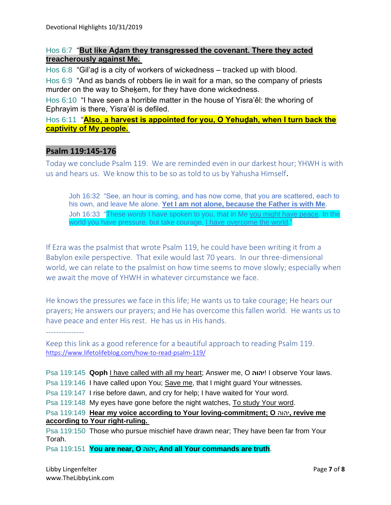### Hos 6:7 "**But like Aḏam they transgressed the covenant. There they acted treacherously against Me.**

Hos 6:8 "Gil'ad is a city of workers of wickedness – tracked up with blood.

Hos 6:9 "And as bands of robbers lie in wait for a man, so the company of priests murder on the way to Shekem, for they have done wickedness.

Hos 6:10 "I have seen a horrible matter in the house of Yisra'ěl: the whoring of Ephrayim is there, Yisra'ěl is defiled.

Hos 6:11 "**Also, a harvest is appointed for you, O Yehuḏah, when I turn back the captivity of My people.**

## **Psalm 119:145-176**

Today we conclude Psalm 119. We are reminded even in our darkest hour; YHWH is with us and hears us. We know this to be so as told to us by Yahusha Himself*.*

Joh 16:32 "See, an hour is coming, and has now come, that you are scattered, each to his own, and leave Me alone. **Yet I am not alone, because the Father is with Me**. Joh 16:33 "These *words* I have spoken to you, that in Me you might have peace. In the world you have pressure, but take courage, I have overcome the world."

If Ezra was the psalmist that wrote Psalm 119, he could have been writing it from a Babylon exile perspective. That exile would last 70 years. In our three-dimensional world, we can relate to the psalmist on how time seems to move slowly; especially when we await the move of YHWH in whatever circumstance we face.

He knows the pressures we face in this life; He wants us to take courage; He hears our prayers; He answers our prayers; and He has overcome this fallen world. He wants us to have peace and enter His rest. He has us in His hands.

---------------

Keep this link as a good reference for a beautiful approach to reading Psalm 119. <https://www.lifetolifeblog.com/how-to-read-psalm-119/>

Psa 119:145 **Qoph** I have called with all my heart; Answer me, O **יהוה** !I observe Your laws.

Psa 119:146 I have called upon You; Save me, that I might guard Your witnesses.

Psa 119:147 I rise before dawn, and cry for help; I have waited for Your word.

Psa 119:148 My eyes have gone before the night watches, To study Your word.

## Psa 119:149 **Hear my voice according to Your loving-commitment; O** יהוה**, revive me according to Your right-ruling.**

Psa 119:150 Those who pursue mischief have drawn near; They have been far from Your Torah.

Psa 119:151 **You are near, O** יהוה**, And all Your commands are truth**.